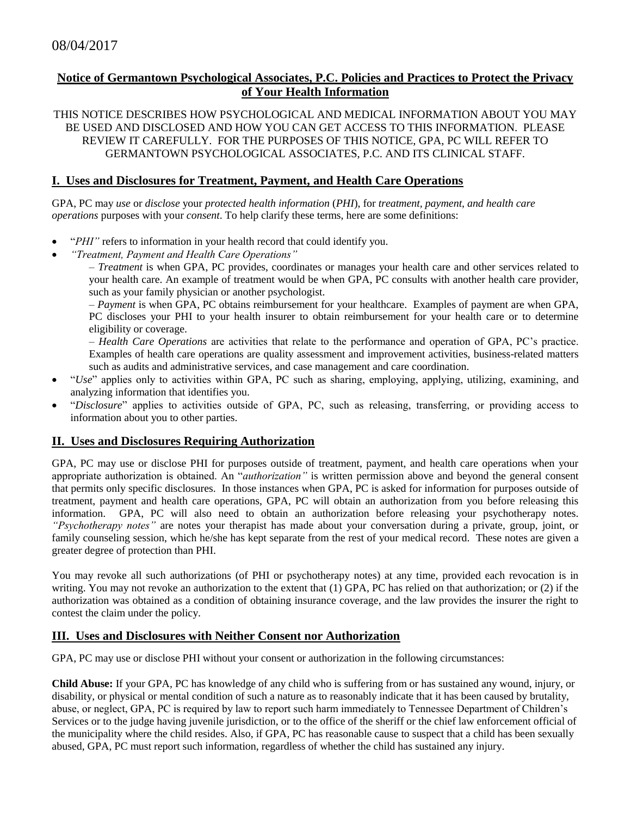## **Notice of Germantown Psychological Associates, P.C. Policies and Practices to Protect the Privacy of Your Health Information**

THIS NOTICE DESCRIBES HOW PSYCHOLOGICAL AND MEDICAL INFORMATION ABOUT YOU MAY BE USED AND DISCLOSED AND HOW YOU CAN GET ACCESS TO THIS INFORMATION. PLEASE REVIEW IT CAREFULLY. FOR THE PURPOSES OF THIS NOTICE, GPA, PC WILL REFER TO GERMANTOWN PSYCHOLOGICAL ASSOCIATES, P.C. AND ITS CLINICAL STAFF.

### **I. Uses and Disclosures for Treatment, Payment, and Health Care Operations**

GPA, PC may *use* or *disclose* your *protected health information* (*PHI*), for *treatment, payment, and health care operations* purposes with your *consent*. To help clarify these terms, here are some definitions:

- "*PHI"* refers to information in your health record that could identify you.
- *"Treatment, Payment and Health Care Operations"*

– *Treatment* is when GPA, PC provides, coordinates or manages your health care and other services related to your health care. An example of treatment would be when GPA, PC consults with another health care provider, such as your family physician or another psychologist.

– *Payment* is when GPA, PC obtains reimbursement for your healthcare. Examples of payment are when GPA, PC discloses your PHI to your health insurer to obtain reimbursement for your health care or to determine eligibility or coverage.

– *Health Care Operations* are activities that relate to the performance and operation of GPA, PC's practice. Examples of health care operations are quality assessment and improvement activities, business-related matters such as audits and administrative services, and case management and care coordination.

- "*Use*" applies only to activities within GPA, PC such as sharing, employing, applying, utilizing, examining, and analyzing information that identifies you.
- "*Disclosure*" applies to activities outside of GPA, PC, such as releasing, transferring, or providing access to information about you to other parties.

### **II. Uses and Disclosures Requiring Authorization**

GPA, PC may use or disclose PHI for purposes outside of treatment, payment, and health care operations when your appropriate authorization is obtained. An "*authorization"* is written permission above and beyond the general consent that permits only specific disclosures. In those instances when GPA, PC is asked for information for purposes outside of treatment, payment and health care operations, GPA, PC will obtain an authorization from you before releasing this information. GPA, PC will also need to obtain an authorization before releasing your psychotherapy notes. *"Psychotherapy notes"* are notes your therapist has made about your conversation during a private, group, joint, or family counseling session, which he/she has kept separate from the rest of your medical record. These notes are given a greater degree of protection than PHI.

You may revoke all such authorizations (of PHI or psychotherapy notes) at any time, provided each revocation is in writing. You may not revoke an authorization to the extent that (1) GPA, PC has relied on that authorization; or (2) if the authorization was obtained as a condition of obtaining insurance coverage, and the law provides the insurer the right to contest the claim under the policy.

### **III. Uses and Disclosures with Neither Consent nor Authorization**

GPA, PC may use or disclose PHI without your consent or authorization in the following circumstances:

**Child Abuse:** If your GPA, PC has knowledge of any child who is suffering from or has sustained any wound, injury, or disability, or physical or mental condition of such a nature as to reasonably indicate that it has been caused by brutality, abuse, or neglect, GPA, PC is required by law to report such harm immediately to Tennessee Department of Children's Services or to the judge having juvenile jurisdiction, or to the office of the sheriff or the chief law enforcement official of the municipality where the child resides. Also, if GPA, PC has reasonable cause to suspect that a child has been sexually abused, GPA, PC must report such information, regardless of whether the child has sustained any injury.